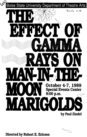

Directed by Robert E. Ericson

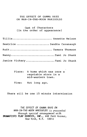# THE EFFECT OF GAMMA RAYS ON MAN-IN-THE-MOON MARIGOLDS

# Cast of Characters (In the order of appearance)

| Tillie Annette Nelson         |
|-------------------------------|
| Beatrice  Sandra Cavanaugh    |
| Ruth  Tamara Thomson          |
|                               |
| Janice Vickery  Tami Jo Shank |

| Place: A home which was once a |  |
|--------------------------------|--|
| vegetable store in a           |  |
| mid-western town.              |  |

Time: Not long ago.

There will be one 15 minute intermission

*THE* EFFECT *OF* GAMMA *RAYS ON MAN-IN-THE-MOON MARIGOLDS is presented* th~ough *6peeial* a~~angement *with*  **DRAMATISTS PLAY SERVICE, INC., 440 Park Avenue,** *New* Yo~R, *N.Y.* 10016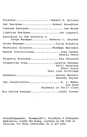| DirectorRobert E. Ericson                                                               |
|-----------------------------------------------------------------------------------------|
| Set Designer Robert Broadfoot                                                           |
| Costume Designer Lee Woods                                                              |
| Lighting Designer Jon Langrell                                                          |
| Assistant to the Director &<br>Stage Manager Rebecca L. Shuster                         |
| House ManagerJulia Franklin                                                             |
| Technical Director Micheal Baltzell                                                     |
| Master Electricians Trey Omdahl<br>Bretta Perry                                         |
| Property Mistress Kea Chournos                                                          |
| Properties Crew Lavelle Gardner<br>Kelli Kennison<br>Sheri Novak<br>Tera Lynn Sulfridge |
| DressersRshley Martell<br>Heather Hayter                                                |
| Set Construction B. J. Weber<br>Sue Boyd<br>Students of TAll7 Class                     |
| Box Office ManagerCyndi Turner                                                          |

*AQknowledgement6:* B~own6~eld'6, P~o6the~Q *g* O~thoped~Q  ${\sf Appliances;}$  Zindel the bunny, courtesy of Zam Zows on F~~v~ew. Fo~ *tho6e* ~nte~e6ted, *he* ~6 6o~ *6ale.*